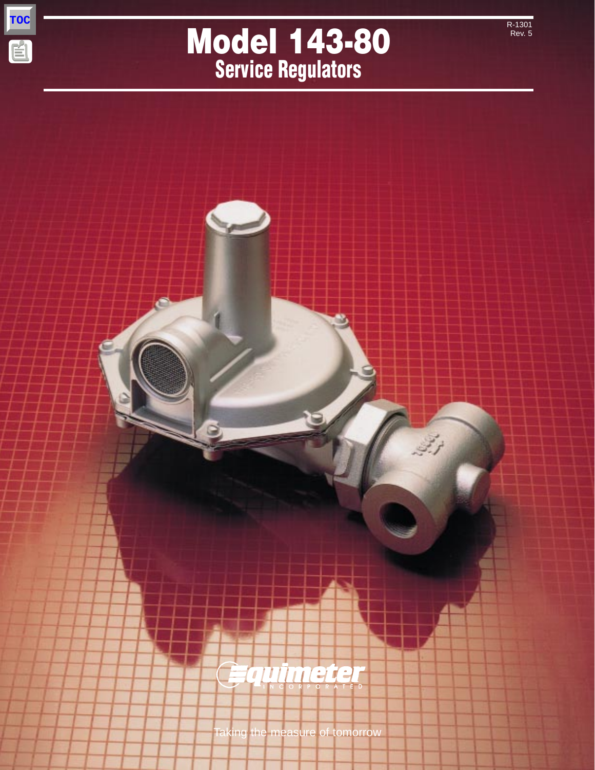

厚

# **Model 143-80 Service Regulators**

R-1301 Rev. 5

Taking the measure of tomorrow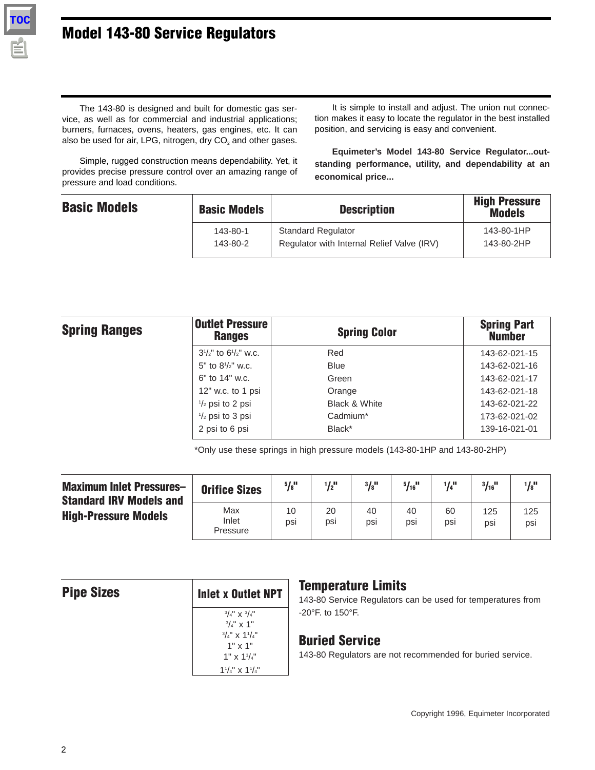## **Model 143-80 Service Regulators**

The 143-80 is designed and built for domestic gas service, as well as for commercial and industrial applications; burners, furnaces, ovens, heaters, gas engines, etc. It can also be used for air, LPG, nitrogen, dry  $CO<sub>2</sub>$  and other gases.

It is simple to install and adjust. The union nut connection makes it easy to locate the regulator in the best installed position, and servicing is easy and convenient.

Simple, rugged construction means dependability. Yet, it provides precise pressure control over an amazing range of pressure and load conditions.

**Equimeter's Model 143-80 Service Regulator...outstanding performance, utility, and dependability at an economical price...**

| <b>Basic Models</b> | <b>Basic Models</b> | <b>Description</b>                         | <b>High Pressure</b><br><b>Models</b> |
|---------------------|---------------------|--------------------------------------------|---------------------------------------|
|                     | 143-80-1            | <b>Standard Regulator</b>                  | 143-80-1HP                            |
|                     | 143-80-2            | Regulator with Internal Relief Valve (IRV) | 143-80-2HP                            |

| <b>Spring Ranges</b> | <b>Outlet Pressure</b><br><b>Ranges</b> | <b>Spring Color</b> | <b>Spring Part</b><br><b>Number</b> |
|----------------------|-----------------------------------------|---------------------|-------------------------------------|
|                      | $3^{1}/2$ " to $6^{1}/2$ " w.c.         | Red                 | 143-62-021-15                       |
|                      | 5" to $8^{1}/2$ " w.c.                  | <b>Blue</b>         | 143-62-021-16                       |
|                      | $6"$ to 14" w.c.                        | Green               | 143-62-021-17                       |
|                      | $12"$ w.c. to 1 psi                     | Orange              | 143-62-021-18                       |
|                      | $\frac{1}{2}$ psi to 2 psi              | Black & White       | 143-62-021-22                       |
|                      | $\frac{1}{2}$ psi to 3 psi              | Cadmium*            | 173-62-021-02                       |
|                      | 2 psi to 6 psi                          | Black*              | 139-16-021-01                       |

\*Only use these springs in high pressure models (143-80-1HP and 143-80-2HP)

| <b>Maximum Inlet Pressures-</b><br><b>Standard IRV Models and</b> | <b>Orifice Sizes</b>     | $5/8$ <sup>11</sup> | $1/2$ <sup>11</sup> | $3/8$ <sup>11</sup> | $5/16$ <sup>11</sup> | $1/4$ <sup>11</sup> | $3/16$ <sup>11</sup> | $\frac{1}{8}$ <sup>11</sup> |
|-------------------------------------------------------------------|--------------------------|---------------------|---------------------|---------------------|----------------------|---------------------|----------------------|-----------------------------|
| <b>High-Pressure Models</b>                                       | Max<br>Inlet<br>Pressure | 10<br>psi           | 20<br>psi           | 40<br>psi           | 40<br>psi            | 60<br>psi           | 125<br>psi           | 125<br>psi                  |

| Inlet <b>x</b> Outlet NPT                     |
|-----------------------------------------------|
| $^{3}/_{4}$ " x $^{3}/_{4}$ "<br>$3/4$ " x 1" |
| $3/4$ " x $1^{1}/4$ "                         |
| $1" \times 1"$<br>1" x $1^{1}/_{4}$ "         |
| $1\frac{1}{4}$ x $1\frac{1}{4}$               |

#### **Temperature Limits**

143-80 Service Regulators can be used for temperatures from -20°F. to 150°F.

#### **Buried Service**

143-80 Regulators are not recommended for buried service.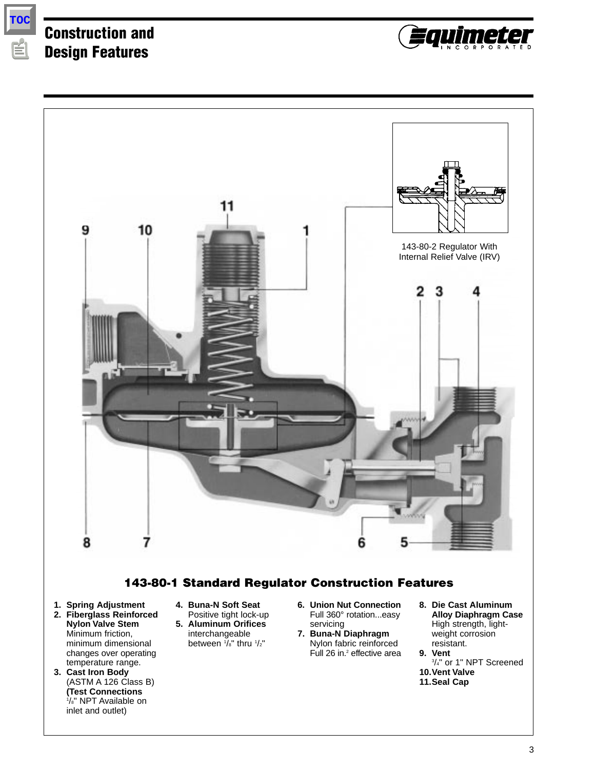

## **Construction and Design Features**





#### **143-80-1 Standard Regulator Construction Features**

- **1. Spring Adjustment**
- **2. Fiberglass Reinforced Nylon Valve Stem** Minimum friction, minimum dimensional changes over operating temperature range.
- **3. Cast Iron Body** (ASTM A 126 Class B) **(Test Connections** 1 /8" NPT Available on inlet and outlet)
- **4. Buna-N Soft Seat** Positive tight lock-up
- **5. Aluminum Orifices** interchangeable between  $\frac{1}{8}$ " thru  $\frac{1}{2}$ "
- **6. Union Nut Connection** Full 360° rotation...easy servicing **7. Buna-N Diaphragm**
- Nylon fabric reinforced Full 26 in.<sup>2</sup> effective area
- **8. Die Cast Aluminum Alloy Diaphragm Case** High strength, lightweight corrosion

resistant. **9. Vent** 3 /4" or 1" NPT Screened **10.Vent Valve 11.Seal Cap**

3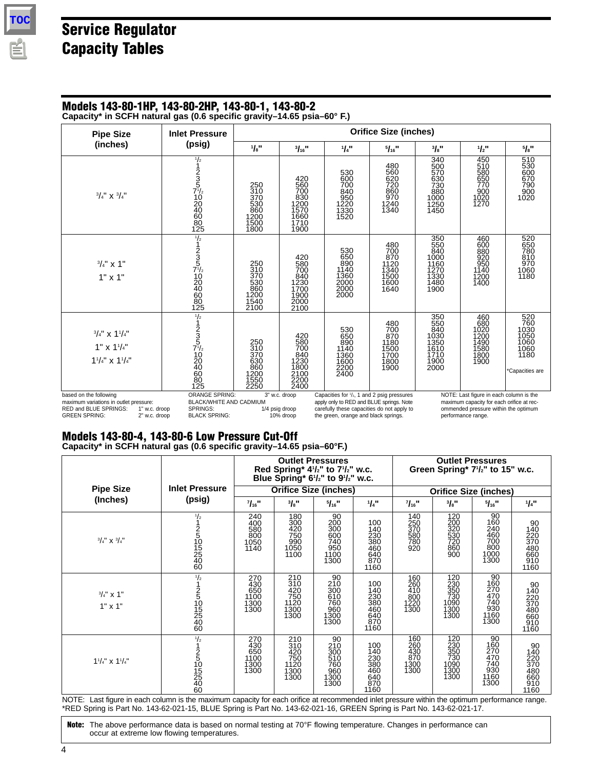# **Service Regulator Capacity Tables**

## **Models 143-80-1HP, 143-80-2HP, 143-80-1, 143-80-2**

**Capacity\* in SCFH natural gas (0.6 specific gravity–14.65 psia–60° F.)**

| <b>Pipe Size</b>                                                                                                                                    | <b>Inlet Pressure</b>                                                                                                |                                                         | <b>Orifice Size (inches)</b>                                     |                                                                                                                                                                                         |                                                           |                                                                   |                                                                                                                                                    |                                                                       |
|-----------------------------------------------------------------------------------------------------------------------------------------------------|----------------------------------------------------------------------------------------------------------------------|---------------------------------------------------------|------------------------------------------------------------------|-----------------------------------------------------------------------------------------------------------------------------------------------------------------------------------------|-----------------------------------------------------------|-------------------------------------------------------------------|----------------------------------------------------------------------------------------------------------------------------------------------------|-----------------------------------------------------------------------|
| (inches)                                                                                                                                            | (psig)                                                                                                               | 1/s''                                                   | $\frac{3}{16}$ "                                                 | 1/4"                                                                                                                                                                                    | 5/16                                                      | 3/8"                                                              | 1/2"                                                                                                                                               | 5/8"                                                                  |
| $\frac{3}{4}$ " X $\frac{3}{4}$ "                                                                                                                   | $\frac{1}{2}$ 1 2 3 5 $\frac{1}{2}$ 10 2 4 6 8 8 1 2 5                                                               | 250<br>310<br>370<br>530<br>860<br>1200<br>1500<br>1800 | 420<br>560<br>700<br>830<br>1200<br>1570<br>1660<br>1710<br>1900 | 530<br>600<br>700<br>840<br>840<br>950<br>1220<br>1330<br>1520                                                                                                                          | 480<br>560<br>620<br>720<br>860<br>970<br>1240<br>1340    | 340<br>500<br>570<br>630<br>730<br>880<br>1000<br>1250<br>1450    | 450<br>510<br>580<br>650<br>770<br>900<br>1020<br>1270                                                                                             | 510<br>530<br>600<br>670<br>670<br>790<br>900<br>1020                 |
| $3/4$ " x 1"<br>$1" \times 1"$                                                                                                                      | $\frac{1}{2}$ 1 2 3 5 $\frac{1}{2}$ 1 0 2 4 0 6 8 0<br>125                                                           | 250<br>310<br>370<br>530<br>860<br>1200<br>1540<br>2100 | 420<br>580<br>700<br>840<br>1230<br>1700<br>1900<br>2000<br>2100 | 530<br>650<br>890<br>1140<br>1360<br>2000<br>2000<br>2000                                                                                                                               | 480<br>700<br>870<br>1120<br>1340<br>1500<br>1600<br>1640 | 350<br>550<br>840<br>1000<br>1160<br>1270<br>1330<br>1480<br>1900 | 460<br>600<br>880<br>920<br>$\frac{950}{1140}$<br>1200<br>1400                                                                                     | 520<br>650<br>780<br>810<br>970<br>1060<br>1180                       |
| $\frac{3}{4}$ " x 1 <sup>1</sup> / <sub>4</sub> "<br>$1"$ x $1'/4"$<br>$1^{1}/_{4}$ " x $1^{1}/_{4}$ "                                              | $\frac{1}{2}$<br>$\frac{1}{2}$<br>$\frac{2}{5}$<br>$\frac{5}{12}$<br>$\frac{10}{20}$<br>$\frac{20}{60}$<br>80<br>125 | 250<br>310<br>370<br>630<br>860<br>1200<br>1550<br>2250 | 420<br>580<br>700<br>840<br>1230<br>1800<br>2100<br>2200<br>2400 | 530<br>650<br>890<br>1140<br>1360<br>1600<br>2200<br>2400                                                                                                                               | 480<br>700<br>870<br>1180<br>1500<br>1700<br>1800<br>1900 | 350<br>550<br>840<br>1030<br>1350<br>1610<br>1710<br>1900<br>2000 | 460<br>680<br>1020<br>1200<br>1490<br>1580<br>1800<br>1900                                                                                         | 520<br>760<br>1030<br>1050<br>1060<br>1060<br>1180<br>*Capacities are |
| based on the following<br>maximum variations in outlet pressure:<br>RED and BLUE SPRINGS:<br>1" w.c. droop<br><b>GREEN SPRING:</b><br>2" w.c. droop | <b>ORANGE SPRING:</b><br><b>BLACK/WHITE AND CADMIUM</b><br>SPRINGS:<br><b>BLACK SPRING:</b>                          |                                                         | 3" w.c. droop<br>1/4 psig droop<br>10% droop                     | Capacities for $\frac{1}{2}$ , 1 and 2 psig pressures<br>apply only to RED and BLUE springs. Note<br>carefully these capacities do not apply to<br>the green, orange and black springs. |                                                           |                                                                   | NOTE: Last figure in each column is the<br>maximum capacity for each orifice at rec-<br>ommended pressure within the optimum<br>performance range. |                                                                       |

#### **Models 143-80-4, 143-80-6 Low Pressure Cut-Off Capacity\* in SCFH natural gas (0.6 specific gravity–14.65 psia–60°F.)**

|                                   |                               | <b>Outlet Pressures</b><br>Red Spring* 41/2" to 71/2" w.c.<br>Blue Spring* 61/2" to 91/2" w.c. |                                                        |                                                           |                                                                     | <b>Outlet Pressures</b><br>Green Spring* 7 <sup>1</sup> / <sub>2</sub> " to 15" w.c. |                                                         |                                                                                      |                                                                     |
|-----------------------------------|-------------------------------|------------------------------------------------------------------------------------------------|--------------------------------------------------------|-----------------------------------------------------------|---------------------------------------------------------------------|--------------------------------------------------------------------------------------|---------------------------------------------------------|--------------------------------------------------------------------------------------|---------------------------------------------------------------------|
| <b>Pipe Size</b>                  | <b>Inlet Pressure</b>         | <b>Orifice Size (inches)</b>                                                                   |                                                        |                                                           |                                                                     |                                                                                      |                                                         | <b>Orifice Size (inches)</b>                                                         |                                                                     |
| (Inches)                          | (psig)                        | 7/16"                                                                                          | 3/8"                                                   | 5/16"                                                     | 1/4"                                                                | 7/16"                                                                                | 3/8"                                                    | 5/16"                                                                                | 1/4"                                                                |
| $\frac{3}{4}$ " x $\frac{3}{4}$ " | $\frac{1}{2}$<br>251015254060 | 240<br>400<br>580<br>800<br>1050<br>1140                                                       | 180<br>300<br>420<br>750<br>750<br>990<br>1050<br>1100 | $^{90}_{200}$<br>300<br>600<br>740<br>950<br>1100<br>1300 | 100<br>140<br>140<br>230<br>380<br>460<br>640<br>870<br>1160        | 140<br>250<br>370<br>580<br>580<br>780<br>920                                        | 120<br>200<br>320<br>320<br>530<br>720<br>860<br>900    | $\begin{array}{c} 90 \\ 160 \\ 240 \end{array}$<br>460<br>700<br>800<br>1000<br>1300 | 90<br>140<br>220<br>370<br>370<br>480<br>660<br>910<br>1160         |
| $3/4$ " x 1"<br>$1" \times 1"$    | $\frac{1}{2}$<br>25105254060  | 270<br>430<br>650<br>1100<br>1300<br>1300                                                      | 210<br>310<br>420<br>750<br>1120<br>1300<br>1300       | 90<br>210<br>300<br>510<br>560<br>560<br>1300<br>1300     | 100<br>140<br>230<br>380<br>460<br>640<br>870<br>1160               | 160<br>260<br>410<br>800<br>1220<br>1300                                             | 120<br>230<br>350<br>350<br>730<br>1090<br>1300<br>1300 | $\frac{90}{160}$<br>$\frac{270}{470}$<br>$\frac{470}{740}$<br>$930$<br>1160<br>1300  | 90<br>140<br>220<br>370<br>370<br>480<br>660<br>910<br>1160         |
| $1^{1}/_{4}$ " x $1^{1}/_{4}$ "   | $\frac{1}{2}$<br>251015254060 | 270<br>430<br>650<br>1100<br>1300<br>1300                                                      | 210<br>310<br>420<br>750<br>1120<br>1300<br>1300       | 90<br>210<br>300<br>510<br>76Ō<br>960<br>1300<br>1300     | 100<br>140<br><b>230</b><br>380<br>460<br>460<br>640<br>870<br>1160 | 160<br>260<br>430<br>870<br>1300<br>1300                                             | 120<br>230<br>350<br>350<br>730<br>1090<br>1300<br>1300 | $\frac{90}{160}$<br>270<br>470<br>740<br>930<br>1160<br>1300                         | 90<br>140<br>220<br>370<br>370<br>480<br>660<br>910<br>1160<br>1160 |

NOTE: Last figure in each column is the maximum capacity for each orifice at recommended inlet pressure within the optimum performance range. \*RED Spring is Part No. 143-62-021-15, BLUE Spring is Part No. 143-62-021-16, GREEN Spring is Part No. 143-62-021-17.

**Note:** The above performance data is based on normal testing at 70°F flowing temperature. Changes in performance can occur at extreme low flowing temperatures.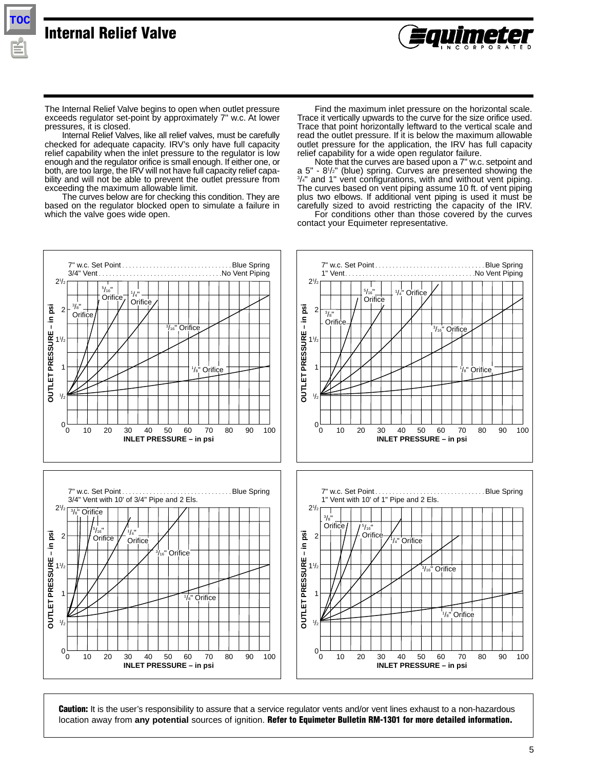

**TOC**

The Internal Relief Valve begins to open when outlet pressure exceeds regulator set-point by approximately 7" w.c. At lower pressures, it is closed.

Internal Relief Valves, like all relief valves, must be carefully checked for adequate capacity. IRV's only have full capacity relief capability when the inlet pressure to the regulator is low enough and the regulator orifice is small enough. If either one, or both, are too large, the IRV will not have full capacity relief capability and will not be able to prevent the outlet pressure from exceeding the maximum allowable limit.

The curves below are for checking this condition. They are based on the regulator blocked open to simulate a failure in which the valve goes wide open.

Find the maximum inlet pressure on the horizontal scale. Trace it vertically upwards to the curve for the size orifice used. Trace that point horizontally leftward to the vertical scale and read the outlet pressure. If it is below the maximum allowable outlet pressure for the application, the IRV has full capacity relief capability for a wide open regulator failure.

Note that the curves are based upon a 7" w.c. setpoint and a 5" - 81 /2" (blue) spring. Curves are presented showing the 3 /4" and 1" vent configurations, with and without vent piping. The curves based on vent piping assume 10 ft. of vent piping plus two elbows. If additional vent piping is used it must be carefully sized to avoid restricting the capacity of the IRV. For conditions other than those covered by the curves

contact your Equimeter representative.



**Caution:** It is the user's responsibility to assure that a service regulator vents and/or vent lines exhaust to a non-hazardous location away from **any potential** sources of ignition. **Refer to Equimeter Bulletin RM-1301 for more detailed information.**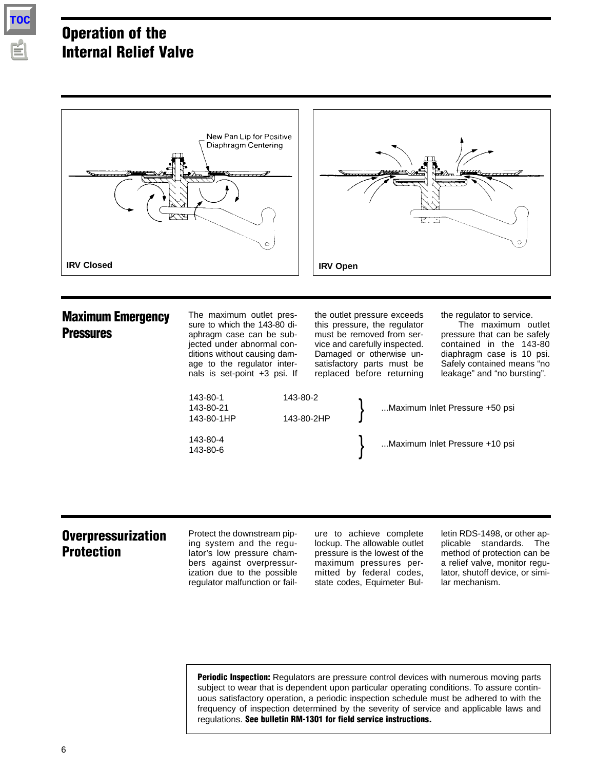

## **Operation of the Internal Relief Valve**



### **Overpressurization Protection**

Protect the downstream piping system and the regulator's low pressure chambers against overpressurization due to the possible regulator malfunction or fail-

ure to achieve complete lockup. The allowable outlet pressure is the lowest of the maximum pressures permitted by federal codes, state codes, Equimeter Bulletin RDS-1498, or other applicable standards. The method of protection can be a relief valve, monitor regulator, shutoff device, or similar mechanism.

**Periodic Inspection:** Regulators are pressure control devices with numerous moving parts subject to wear that is dependent upon particular operating conditions. To assure continuous satisfactory operation, a periodic inspection schedule must be adhered to with the frequency of inspection determined by the severity of service and applicable laws and regulations. **See bulletin RM-1301 for field service instructions.**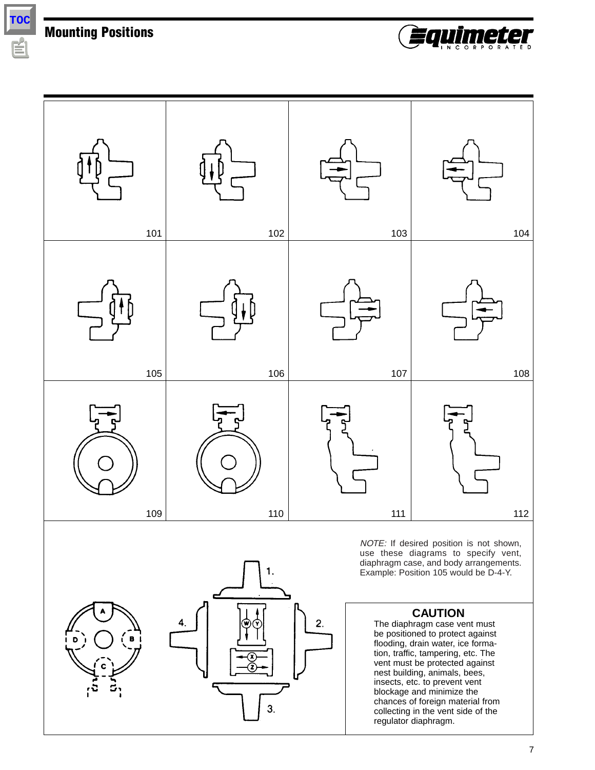**Mounting Positions**

**TOC**





1. 2. 4 3.

NOTE: If desired position is not shown, use these diagrams to specify vent, diaphragm case, and body arrangements. Example: Position 105 would be D-4-Y.

#### **CAUTION**

The diaphragm case vent must be positioned to protect against flooding, drain water, ice formation, traffic, tampering, etc. The vent must be protected against nest building, animals, bees, insects, etc. to prevent vent blockage and minimize the chances of foreign material from collecting in the vent side of the regulator diaphragm.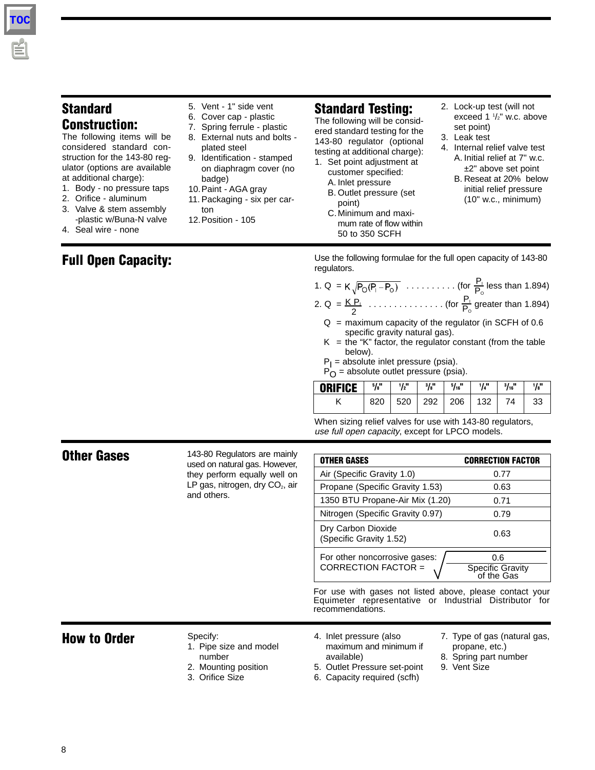#### **Standard Construction:**

The following items will be considered standard construction for the 143-80 regulator (options are available at additional charge):

- 1. Body no pressure taps
- 2. Orifice aluminum
- 3. Valve & stem assembly -plastic w/Buna-N valve
- 4. Seal wire none

#### **Full Open Capacity:**

- 5. Vent 1" side vent
- 6. Cover cap plastic
- 7. Spring ferrule plastic
- 8. External nuts and bolts plated steel
- 9. Identification stamped on diaphragm cover (no badge)
- 10.Paint AGA gray
- 11. Packaging six per carton
- 12.Position 105

### **Standard Testing:**

The following will be considered standard testing for the 143-80 regulator (optional testing at additional charge):

- 1. Set point adjustment at customer specified: A. Inlet pressure
	- B. Outlet pressure (set point)
	- C.Minimum and maximum rate of flow within 50 to 350 SCFH
- 2. Lock-up test (will not exceed 1 1 /2" w.c. above set point)
- 3. Leak test
- 4. Internal relief valve test A. Initial relief at 7" w.c. ±2" above set point
	- B. Reseat at 20% below initial relief pressure (10" w.c., minimum)

Use the following formulae for the full open capacity of 143-80 regulators.

- 1. Q = K,  $\sqrt{P_O(P_1-P_O)}$  ......... (for  $\frac{P_I}{P}$  less than 1.894) 2. Q =  $\overline{KP_1}$  ................ (for  $\frac{P_1}{P_1}$  greater than 1.894) 2 PI  $P_{\rm o}$  $\mathsf{P}_\mathsf{O}$ 
	- $Q =$  maximum capacity of the regulator (in SCFH of 0.6 specific gravity natural gas).
	- $K =$  the "K" factor, the regulator constant (from the table below).
	- $P_1$  = absolute inlet pressure (psia).
	- $P_O$  = absolute outlet pressure (psia).

| <b>ORIFICE</b> | 5/8" | 1/2" | 3/8" | 5/16 | 1/4" | $3/16$ <sup>11</sup> | 1/s'' |
|----------------|------|------|------|------|------|----------------------|-------|
|                | 820  | 520  | 292  | 206  | 132  |                      | 33    |

When sizing relief valves for use with 143-80 regulators, use full open capacity, except for LPCO models.

|                     | 143-80 Regulators are mainly                                                            |                                                                                                                                        |                                                                                         |  |  |  |
|---------------------|-----------------------------------------------------------------------------------------|----------------------------------------------------------------------------------------------------------------------------------------|-----------------------------------------------------------------------------------------|--|--|--|
| <b>Other Gases</b>  | used on natural gas. However,                                                           | <b>OTHER GASES</b>                                                                                                                     | <b>CORRECTION FACTOR</b>                                                                |  |  |  |
|                     | they perform equally well on                                                            | Air (Specific Gravity 1.0)                                                                                                             | 0.77                                                                                    |  |  |  |
|                     | LP gas, nitrogen, dry CO <sub>2</sub> , air                                             | Propane (Specific Gravity 1.53)                                                                                                        | 0.63                                                                                    |  |  |  |
|                     | and others.                                                                             | 1350 BTU Propane-Air Mix (1.20)                                                                                                        | 0.71                                                                                    |  |  |  |
|                     |                                                                                         | Nitrogen (Specific Gravity 0.97)                                                                                                       | 0.79                                                                                    |  |  |  |
|                     |                                                                                         | Dry Carbon Dioxide<br>(Specific Gravity 1.52)                                                                                          | 0.63                                                                                    |  |  |  |
|                     |                                                                                         | For other noncorrosive gases:<br>CORRECTION FACTOR =                                                                                   | 0.6<br>Specific Gravity<br>of the Gas                                                   |  |  |  |
|                     |                                                                                         | For use with gases not listed above, please contact your<br>Equimeter representative or Industrial Distributor for<br>recommendations. |                                                                                         |  |  |  |
| <b>How to Order</b> | Specify:<br>1. Pipe size and model<br>number<br>2. Mounting position<br>3. Orifice Size | 4. Inlet pressure (also<br>maximum and minimum if<br>available)<br>5. Outlet Pressure set-point<br>6. Capacity required (scfh)         | 7. Type of gas (natural gas,<br>propane, etc.)<br>8. Spring part number<br>9. Vent Size |  |  |  |

**TOC**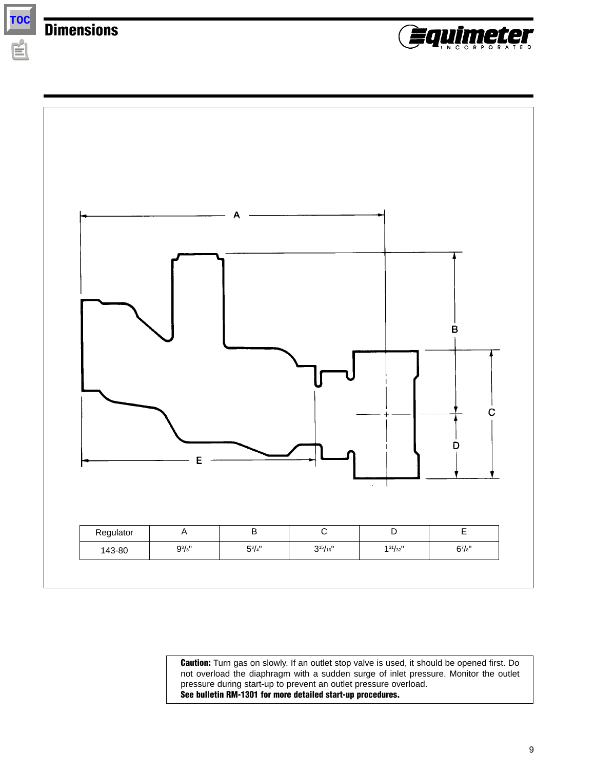**Dimensions**

**TOC**





**Caution:** Turn gas on slowly. If an outlet stop valve is used, it should be opened first. Do not overload the diaphragm with a sudden surge of inlet pressure. Monitor the outlet pressure during start-up to prevent an outlet pressure overload. **See bulletin RM-1301 for more detailed start-up procedures.**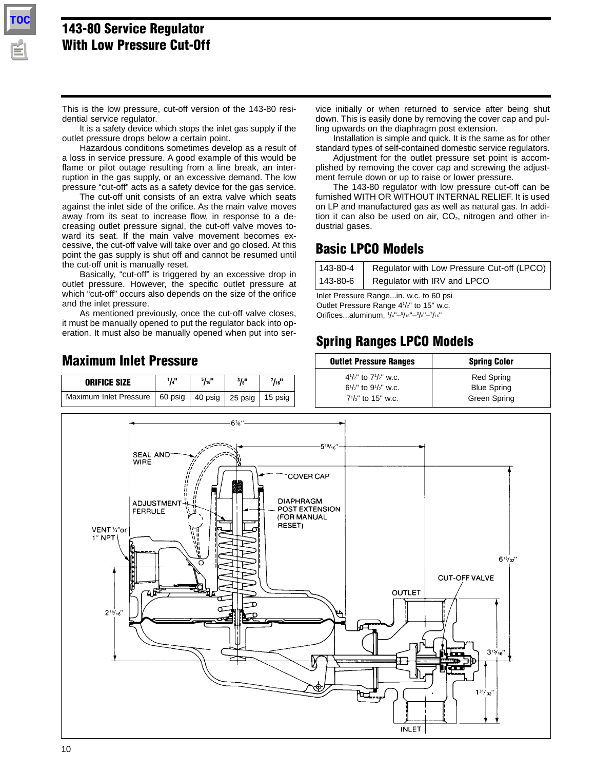

#### **143-80 Service Regulator With Low Pressure Cut-Off**

This is the low pressure, cut-off version of the 143-80 residential service regulator.

It is a safety device which stops the inlet gas supply if the outlet pressure drops below a certain point.

Hazardous conditions sometimes develop as a result of a loss in service pressure. A good example of this would be flame or pilot outage resulting from a line break, an interruption in the gas supply, or an excessive demand. The low pressure "cut-off" acts as a safety device for the gas service.

The cut-off unit consists of an extra valve which seats against the inlet side of the orifice. As the main valve moves away from its seat to increase flow, in response to a decreasing outlet pressure signal, the cut-off valve moves toward its seat. If the main valve movement becomes excessive, the cut-off valve will take over and go closed. At this point the gas supply is shut off and cannot be resumed until the cut-off unit is manually reset.

Basically, "cut-off" is triggered by an excessive drop in outlet pressure. However, the specific outlet pressure at which "cut-off" occurs also depends on the size of the orifice and the inlet pressure.

As mentioned previously, once the cut-off valve closes, it must be manually opened to put the regulator back into operation. It must also be manually opened when put into service initially or when returned to service after being shut down. This is easily done by removing the cover cap and pulling upwards on the diaphragm post extension.

Installation is simple and quick. It is the same as for other standard types of self-contained domestic service regulators.

Adjustment for the outlet pressure set point is accomplished by removing the cover cap and screwing the adjustment ferrule down or up to raise or lower pressure.

The 143-80 regulator with low pressure cut-off can be furnished WITH OR WITHOUT INTERNAL RELIEF. It is used on LP and manufactured gas as well as natural gas. In addition it can also be used on air,  $CO<sub>2</sub>$ , nitrogen and other industrial gases.

#### **Basic LPCO Models**

| $143 - 80 - 4$ | Regulator with Low Pressure Cut-off (LPCO) |
|----------------|--------------------------------------------|
| $143 - 80 - 6$ | Regulator with IRV and LPCO                |

Inlet Pressure Range...in. w.c. to 60 psi Outlet Pressure Range 4<sup>1</sup>/<sub>2</sub>" to 15" w.c. Orifices...aluminum,  $1/4" - 5/16" - 3/8" - 7/16"$ 

## **Spring Ranges LPCO Models**



#### **Maximum Inlet Pressure**